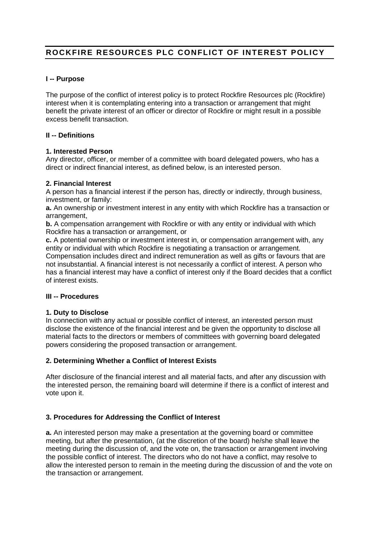## **ROCKFIRE RESOURCES PLC CONFLICT OF INTEREST POLICY**

#### **I -- Purpose**

The purpose of the conflict of interest policy is to protect Rockfire Resources plc (Rockfire) interest when it is contemplating entering into a transaction or arrangement that might benefit the private interest of an officer or director of Rockfire or might result in a possible excess benefit transaction.

#### **II -- Definitions**

#### **1. Interested Person**

Any director, officer, or member of a committee with board delegated powers, who has a direct or indirect financial interest, as defined below, is an interested person.

#### **2. Financial Interest**

A person has a financial interest if the person has, directly or indirectly, through business, investment, or family:

**a.** An ownership or investment interest in any entity with which Rockfire has a transaction or arrangement,

**b.** A compensation arrangement with Rockfire or with any entity or individual with which Rockfire has a transaction or arrangement, or

**c.** A potential ownership or investment interest in, or compensation arrangement with, any entity or individual with which Rockfire is negotiating a transaction or arrangement. Compensation includes direct and indirect remuneration as well as gifts or favours that are not insubstantial. A financial interest is not necessarily a conflict of interest. A person who has a financial interest may have a conflict of interest only if the Board decides that a conflict of interest exists.

#### **III -- Procedures**

#### **1. Duty to Disclose**

In connection with any actual or possible conflict of interest, an interested person must disclose the existence of the financial interest and be given the opportunity to disclose all material facts to the directors or members of committees with governing board delegated powers considering the proposed transaction or arrangement.

#### **2. Determining Whether a Conflict of Interest Exists**

After disclosure of the financial interest and all material facts, and after any discussion with the interested person, the remaining board will determine if there is a conflict of interest and vote upon it.

## **3. Procedures for Addressing the Conflict of Interest**

**a.** An interested person may make a presentation at the governing board or committee meeting, but after the presentation, (at the discretion of the board) he/she shall leave the meeting during the discussion of, and the vote on, the transaction or arrangement involving the possible conflict of interest. The directors who do not have a conflict, may resolve to allow the interested person to remain in the meeting during the discussion of and the vote on the transaction or arrangement.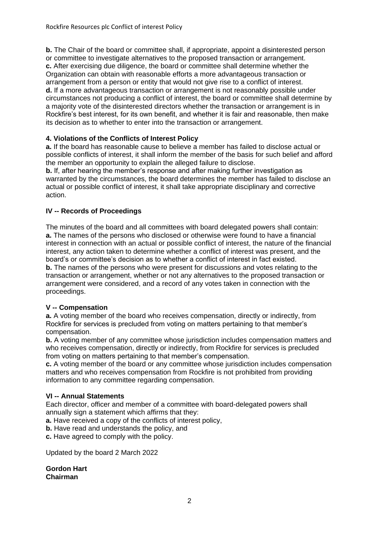**b.** The Chair of the board or committee shall, if appropriate, appoint a disinterested person or committee to investigate alternatives to the proposed transaction or arrangement. **c.** After exercising due diligence, the board or committee shall determine whether the Organization can obtain with reasonable efforts a more advantageous transaction or arrangement from a person or entity that would not give rise to a conflict of interest. **d.** If a more advantageous transaction or arrangement is not reasonably possible under circumstances not producing a conflict of interest, the board or committee shall determine by a majority vote of the disinterested directors whether the transaction or arrangement is in Rockfire's best interest, for its own benefit, and whether it is fair and reasonable, then make its decision as to whether to enter into the transaction or arrangement.

## **4. Violations of the Conflicts of Interest Policy**

**a.** If the board has reasonable cause to believe a member has failed to disclose actual or possible conflicts of interest, it shall inform the member of the basis for such belief and afford the member an opportunity to explain the alleged failure to disclose.

**b.** If, after hearing the member's response and after making further investigation as warranted by the circumstances, the board determines the member has failed to disclose an actual or possible conflict of interest, it shall take appropriate disciplinary and corrective action.

## **IV -- Records of Proceedings**

The minutes of the board and all committees with board delegated powers shall contain: **a.** The names of the persons who disclosed or otherwise were found to have a financial interest in connection with an actual or possible conflict of interest, the nature of the financial interest, any action taken to determine whether a conflict of interest was present, and the board's or committee's decision as to whether a conflict of interest in fact existed. **b.** The names of the persons who were present for discussions and votes relating to the transaction or arrangement, whether or not any alternatives to the proposed transaction or arrangement were considered, and a record of any votes taken in connection with the proceedings.

## **V -- Compensation**

**a.** A voting member of the board who receives compensation, directly or indirectly, from Rockfire for services is precluded from voting on matters pertaining to that member's compensation.

**b.** A voting member of any committee whose jurisdiction includes compensation matters and who receives compensation, directly or indirectly, from Rockfire for services is precluded from voting on matters pertaining to that member's compensation.

**c.** A voting member of the board or any committee whose jurisdiction includes compensation matters and who receives compensation from Rockfire is not prohibited from providing information to any committee regarding compensation.

## **VI -- Annual Statements**

Each director, officer and member of a committee with board-delegated powers shall annually sign a statement which affirms that they:

**a.** Have received a copy of the conflicts of interest policy,

**b.** Have read and understands the policy, and

**c.** Have agreed to comply with the policy.

Updated by the board 2 March 2022

**Gordon Hart Chairman**